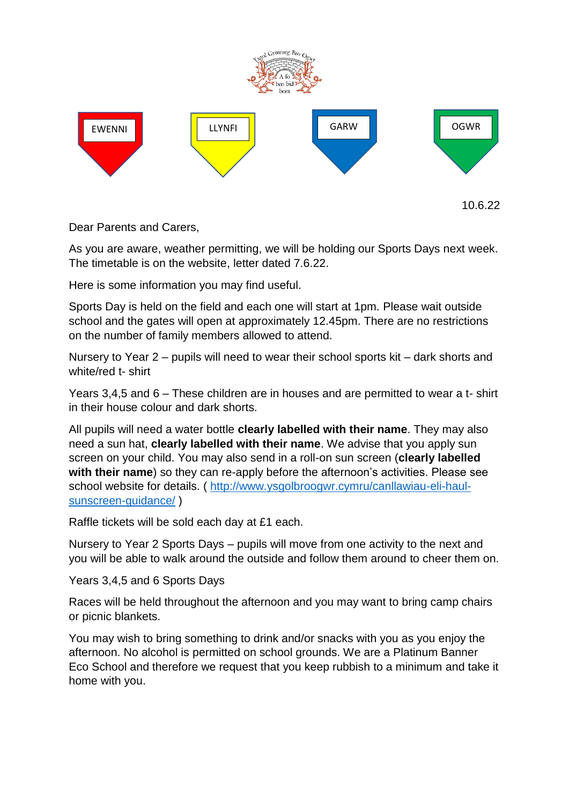

10.6.22

Dear Parents and Carers,

As you are aware, weather permitting, we will be holding our Sports Days next week. The timetable is on the website, letter dated 7.6.22.

Here is some information you may find useful.

Sports Day is held on the field and each one will start at 1pm. Please wait outside school and the gates will open at approximately 12.45pm. There are no restrictions on the number of family members allowed to attend.

Nursery to Year 2 – pupils will need to wear their school sports kit – dark shorts and white/red t- shirt

Years 3,4,5 and 6 – These children are in houses and are permitted to wear a t- shirt in their house colour and dark shorts.

All pupils will need a water bottle **clearly labelled with their name**. They may also need a sun hat, **clearly labelled with their name**. We advise that you apply sun screen on your child. You may also send in a roll-on sun screen (**clearly labelled with their name**) so they can re-apply before the afternoon's activities. Please see school website for details. ( [http://www.ysgolbroogwr.cymru/canllawiau-eli-haul](http://www.ysgolbroogwr.cymru/canllawiau-eli-haul-sunscreen-guidance/)[sunscreen-guidance/](http://www.ysgolbroogwr.cymru/canllawiau-eli-haul-sunscreen-guidance/) )

Raffle tickets will be sold each day at £1 each.

Nursery to Year 2 Sports Days – pupils will move from one activity to the next and you will be able to walk around the outside and follow them around to cheer them on.

Years 3,4,5 and 6 Sports Days

Races will be held throughout the afternoon and you may want to bring camp chairs or picnic blankets.

You may wish to bring something to drink and/or snacks with you as you enjoy the afternoon. No alcohol is permitted on school grounds. We are a Platinum Banner Eco School and therefore we request that you keep rubbish to a minimum and take it home with you.